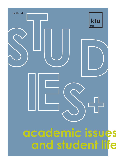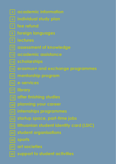- **academic information**
- **individual study plan**
- **fee refund**
- **foreign languages**
- 
- **assessment of knowledge**
- **academic assistance**
- **scholarships**
- **erasmus+ and exchange programmes**
- **mentorship program**
- 
- **library**
- **after finishing studies**
- **planning your career**
- **internships programmes**
- **startup space, part-time jobs**
- **lithuanian student identity card (LSIC)**
- **student organisations**
- **sports**
- 
- **2 studies and student life ktu support to student activities**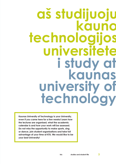### **aš studijuoju kauno technologijos universitete i study at kaunas university of technology**

**Kaunas University of Technology is your University, even if you came here for a few weeks! Learn how the lectures are organised, what the academic calendar is and how your work will be assessed. Do not miss the opportunity to make sports, sing or dance, join student organisations and take full advantage of your time at KTU. We would like to be your best University!**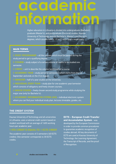### **academic information**

Higher education in Lithuania is divided into undergraduate (Bachelor), graduate (Master's), and postgraduate (Doctoral) studies. Kaunas University of Technology awards Bachelor's, Master's and Doctor's degrees, which usually take 4, 1.5 or 2, and 4 years respectively.

#### **MAIN TERMS**

▶ **STUDY PROGRAMME** – all the courses which must be passed during the study period to get a qualifying degree. **HE** SPECIAL ▶ **COURSE** – study subject of a certain volume of credits to be studied one semester.

▶ **CREDIT** – unit to describe the volume (workload) of a course.

▶ **ACADEMIC YEAR** – study period (2 semesters) which starts from the 1st September and ends on the 31st August.

▶ **SEMESTER** – half of a year studies at the University.

▶ **INDIVIDUAL STUDY PLAN** – study plan for one academic year/semester which consists of obligatory and freely chosen courses.

▶ **MINOR STUDIES** – freely chosen second study programme while studying the major one (only for Bachelor's).

▶ **ACADEMIC INFORMATION SYSTEM (AIS)** – individual electronic system where you can find your individual study plan, lectures timetable, grades, etc.

#### **THE CREDIT SYSTEM**

Kaunas University of Technology and all universities in Lithuania, uses a national credit system based on student workload with an average of 1600 working hours per academic year.

The academic year consists of 2 semesters (60 ECTS credits). One semester corresponds to 30 ECTS credits.

**ECTS - European Credit Transfer and Accumulation System** - was developed by the European Commission in order to provide common procedures to guarantee academic recognition of studies abroad. All key documents of ECTS are used at Kaunas University of Technology: the Learning Agreement, the Transcript of Records, and the proof of Recognition.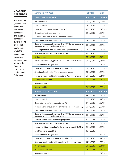### **ACADEMIC CALENDAR**

The academic year consists of autumn and spring semesters. The autumn semester always starts on the 1st of September, while the beginning of the spring semester may vary a little (usually it starts in the beginning of February).

| <b>ACADEMIC PROCESS</b>                                                                                   | <b>BEGINS</b> | <b>ENDS</b> |
|-----------------------------------------------------------------------------------------------------------|---------------|-------------|
| <b>SPRING SEMESTER 2015</b>                                                                               | 01/02/2015    | 31/08/2015  |
| Welcome Week                                                                                              | 02/02/2015    | 07/02/2015  |
| Lectures period                                                                                           | 02/02/2015    | 31/05/2015  |
| Registration for Spring semester (on AIS)                                                                 | 12/01/2015    | 28/02/2015  |
| Correction of individual study plan                                                                       | 02/02/2015    | 15/02/2015  |
| Correction of individual study plan for newcomers                                                         |               | 20/02/2015  |
| Applications for Rector scholarships                                                                      | 02/02/2015    | 08/02/2015  |
| Ranking of degree students according CGPA for Scholarship for<br>very good results in studies and science | 16/02/2015    | 20/02/2015  |
| Choosing minor studies (for Bachelor's degree students only)                                              | 02/03/2015    | 22/03/2015  |
| Selection of students for Erasmus+ studies                                                                | 16/03/2015    | 27/03/2015  |
| <b>Spring holiday</b>                                                                                     | 30/03/2015    | 06/04/2015  |
| Making individual study plan for the academic year 2015/2016                                              | 01/05/2015    | 15/06/2015  |
| End of semester assignments                                                                               |               | 31/05/2015  |
| Registration for exams (making exam schedule)                                                             | 04/05/2015    | 31/05/2015  |
| Selection of students for Mentorship programme                                                            | 04/05/2015    | 01/06/2015  |
| Survey on studies and teaching quality in Autumn semester                                                 | 04/05/2015    | 30/06/2015  |
| Spring exams session                                                                                      | 01/06/2015    | 30/06/2015  |
| Graduation ceremony                                                                                       |               | 19/06/2015  |
| <b>Summer holiday</b>                                                                                     | 01/07/2015    | 31/08/2015  |
| <b>AUTUMN SEMESTER 2015</b>                                                                               | 01/09/2015    | 31/01/2016  |
| Welcome Week                                                                                              | 26/08/2015    | 05/09/2015  |
| Lectures period                                                                                           | 02/09/2015    | 19/12/2015  |
| Registration for Autumn semester (on AIS)                                                                 | 17/08/2015    | 30/09/2015  |
| Correction of individual study plan (having serious reason only)                                          | 24/08/2015    | 30/09/2015  |
| Applications for Rector scholarships                                                                      | 02/09/2015    | 09/09/2015  |
| Ranking of degree students according CGPA for Scholarship for<br>very good results in studies and science | 14/09/2015    | 18/09/2015  |
| Selection of students for Mentorship programme                                                            | 10/09/2015    | 25/09/2015  |
| Selection of students for Erasmus+ studies                                                                | 21/09/2015    | 25/09/2015  |
| Making individual study plan for the academic year 2015/2016                                              | 01/05/2015    | 15/06/2015  |
| KTU Placements Days 2015                                                                                  | 18/11/2015    |             |
| End of semester assignments                                                                               |               | 19/12/2015  |
| Registration for exams (making exam schedule)                                                             | 01/12/2015    | 31/12/2015  |
| Survey on studies and teaching quality in Autumn semester                                                 | 14/12/2015    | 12/02/2016  |
| <b>Winter holiday</b>                                                                                     | 21/12/2015    | 01/01/2016  |
| Winter exams session                                                                                      | 02/01/2016    | 31/01/2016  |
| Graduation ceremony                                                                                       |               | 22/01/2016  |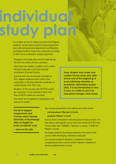# **individual study plan**

If a student arrives for degree programmes (degree student), he/she follows general study programme plan with some personal adjustment and flexibility. Exchange students make their study plan according to their home institution's study programme.

Changes in the study plan may be made during the first two weeks of every semester.

After these two weeks a student must confirm the final study plan to the International coordinator of certain faculty.

Starting from the second year of studies at KTU, degree students must confirm their study plans to the International coordinator of certain faculty until 15th June.

Students at KTU usually take 30 ECTS credits per semester. It's not allowed to take more than 36 ECTS credits per semester.

**Every student must make and confirm his/her study plan after arrival and at the beginning of every following semester on Academic Information System (AIS). It is recommended to view it once in a while to see if all requested changes were made.**

The tuition fee (if applied) is calculated on the amount of credits.

**The list of degree programmes and courses which Kaunas University of Technology offers in English for every academic year** 

▶ **www.en.ktu.edu**

The courses presented in the website are of two levels:

- ▶undergraduate (Bachelor's) level;
- ▶graduate (Master's) level.

Course level is indicated in the description of every course. It is also easy to distinguish course level from letters B or M in the course code, like T125B003 – Bachelor's course, T125M165 – Master's course.

Exchange students should pay attention to the level of the course, while developing individual study plan.

It is recommended for Bachelor's students to choose undergraduate level courses and for Master's students to choose graduate level courses.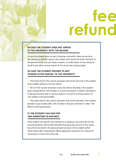## **fee refund**

#### **IN CASE THE STUDENT DOES NOT ARRIVE TO THE UNIVERSITY WITH THE REASON**

In case the student does not get Lithuanian visa and/or does not arrive to the University with the reason, the student will receive the tuition fee back to the personal bank account within 3 weeks. A confirmation of visa refusal or proof of any other serious reason to not arrive has to be provided.

#### **IN CASE THE STUDENT DECIDES TO QUIT STUDIES AFTER ARRIVAL TO THE UNIVERSITY**

▶ The tuition fee for the current semester will not be returned, if the student quits studies without a serious reason.

▶50 % of the current semester tuition fee will be refunded, if the student quits studies before 15th October in Autumn semester or before 15th March in Spring semester due to serious reasons. A proof of a serious reason to quit studies must be provided.

▶The tuition fee for the current semester will not be returned, if the student decides to quit studies after 16th October in Autumn semester or after 16th March in Spring semester.

#### **IF THE STUDENT HAS PAID FOR TWO SEMESTERS IN ADVANCE**

If the student has paid for two semesters in advance, the tuition fee for the second semester will be fully refunded.The particular amount of the tuition fee will be returned to the personal bank account of the student within three weeks after receiving the official application and proof of a reason (if necessary) to return the tuition fee.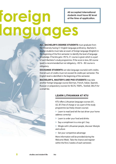**All accepted International students must have B2 level at the time of application.**

# **foreign languages**

**ALL BACHELOR'S DEGREE STUDENTS** must graduate from the University having C1 English language proficiency. Bachelor's degree students must take an exam of foreign language (English) in the beginning of the first semester to identify the level of language knowledge. If he/she gets >90 %, C1 course is given which is a part of each Bachelor's study programme. If the score is less, B2 course (paid) is recommended but not obligatory, <50 % - B2 course is obligatory.

**EXCHANGE STUDENTS** can take language course(s) with credits. Overall sum of credits must not exceed 36 credits per semester. The English level is identified in the beginning of the semester.

**BACHELOR'S, MASTER'S AND PHD STUDENTS** may take another foreign language course (German, French, Italian, Spanish, Russian or preparatory courses for IELTS, TOEFL, TestDaf, DELF) for a small fee.

### **LEARN LITHUANIAN AT KTU**

KTU offers Lithuanian language courses (A1, A2, B1) free of charge or as a part of the study programme (as freely chosen course):

- ▶Learn to read (and tell the taxi driver your home address correctly)
- ▶Learn to order your food and drinks
- ▶Say a compliment to a nice girl / boy
- ▶Mingle with Lithuanian people, discover lifestyle and culture
- ▶Get your competitive advantage

More information will be provided during the Welcome Week. Take the chance and register within the first 2 weeks of each semester.

RAT.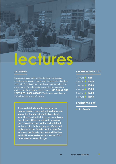

#### **LECTURES**

Each course has a confirmed content and may possibly include midterm exam, course work, practical and laboratory tasks, etc. There is written or oral exam upon completion of every course. This information is given by the supervising professor at the beginning of each course. **ATTENDING THE LECTURES IS OBLIGATORY.** The lectures start sharp at the indicated time so don't be late.

**If you got sick during the semester or exams session, you must visit a doctor and inform the faculty administration about your illness on the first day you are missing the classes. After you get well, you must get a note from the doctor and to bring it to the faculty. Only having an official and registered at the faculty doctor's proof of sickness, the faculty may extend the time to fullfill the semester tasks or exams for 2 more weeks free of charge.**

#### **LECTURES START AT**

| 1 lecture > 8:30              |  |
|-------------------------------|--|
| 2 lecture <b>10:30</b>        |  |
| 3 lecture > 13:00             |  |
| 4 lecture <b>15:00</b>        |  |
| 5 lecture <b>17:00</b>        |  |
| 6 lecture $\rightarrow$ 18:45 |  |

#### **LECTURES LAST**

▶ **1 h 30 min**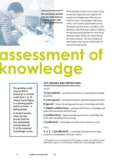**The received grades can be checked on** ▶ **www.en.ktu.edu**

The final grade of each course may consist of several components (provided by the teacher at the beginning of the course): midterm exam, course paper, laboratory works, home works (assessment during semester) and final exam. A student is not allowed to take final exam without fulfilling and getting passing grades for each of the semester tasks. Exams are taken during the exams session. The best students of each faculty may receive scholarships for advanced study results.

# **assessment of knowledge**

**The grading scale used at KTU is based on a number scale from 1 to 10 where 5 and higher is a passing grade and 4 or lower - a failing grade.** 

**A student passes when he/she proves that he/ she assimilated not less than 50 % of the required knowledge scope.**

### **KTU GRADES AND DEFINITIONS**

#### **PASS**

**10 (excellent)** ▶ excellent performance, outstanding knowledge and skills

**9 (very good)** ▶ strong performance, good knowledge and skills

**8 (good**) ▶ above the average performance, knowledge and skills

**7 (highly satisfactory)** ▶ average performance, knowledge and skills with unessential shortcomings

**6 (satisfactory)** ▶ below average performance, knowledge and skills with substantial shortcomings

**5 (sufficient)** ▶ knowledge and skills meet minimum criteria

#### **FAIL**

**4, 3, 2, 1 (insufficient)** ▶ knowledge and skills do not meet minimum criteria/below minimum criteria

\* KTU grades are not converted into ECTS grades. Instead, the statistical grade distribution is given in the Transcripts of Records for the exchange students.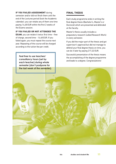#### **IF YOU FAILED ASSESSMENT** during

semester and/or did not finish them until the end of the Lectures period (look the Academic calendar), you can retake any of them one time paying 14,48 EUR within the first 2 weeks of the Exams session.

#### **IF YOU FAILED OR NOT ATTENDED THE**

**EXAM**, you can retake it twice: first time – free of charge, second time - 14,48 EUR. If you failed again, you must repeat the course next year. Repeating of the course will be charged according to the tuition fee per credit.

**Feel free to use teachers' consultancy hours (set by each teacher) during whole semester (don't postpone for the last week of the semester).**

#### **FINAL THESIS**

Each study programme ends in writing the final degree thesis (Bachelor's, Master's or Doctoral) which are presented and defended at the faculty.

Master's thesis usually includes a preparatory research (called Research Work) in every semester.

If you did the major part of the thesis and got supervisor's approval but did not manage to defend your final degree thesis on time, you can do it later by paying 217,22 EUR.

Successful presentation of the thesis means the accomplishing of the degree programme and leads to a degree. Congratulations!

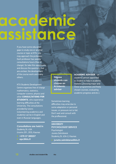## **academic assistance**

If you have some education gaps to study one or another course or topic at KTU, you may approach the professor. Each professor has weekly consultations hours (free of charge). So take this opportunity and discuss the questions that are unclear, the development of the course work and many others.

KTU Students Development Centre organises free of charge mathematics, statistics, computer science, physics and other **CONSULTATIONS FOR STUDENTS**, who experience learning difficulties at the University. The consultations provided by tutors (volunteering academics and students) can be in English and even in Russian languages.

**Consultations are held in** Studentų St. 63A (rooms 201, 203), Kaunas

▶ **+370 37 300257**  ▶ **apc@ktu.lt**

**Degree students can choose an Academic adviser**

Sometimes learning difficulties may arise due to some adaptation or personal issues, or pressure not to fail. Don't wait and consult with the proffessional.

#### **UNIVERSITY PSYCHOLOGIST SERVICE**

**Psychologist** Juneta Zelmikienė Studentų St. 63A-2, Kaunas

▶ **juneta.zelmikiene@ktu.lt**

**ACADEMIC ADVISER** – an academic person appointed to student to help in academic matters (choosing major and minor programmes and freely chosen courses, evaluating academic progress and etc.).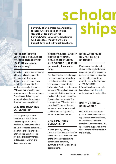University offers numerous scholarships<br>to those who are good at studies,<br>research or are active in the<br>University's life, the first with the studies of the studies of the studies of the studies of the studies of the studi **to those who are good at studies, research or are active in the University's life. University's scholarship fund consists of money from State budget, firms and individual donations.**

**SCHOLARSHIP FOR VERY GOOD RESULTS IN STUDIES AND SCIENCE (76 EUR) per month, 1 semester long)**

In the beginning of each semester a Dean of a Faculty appoints the degree students who demonstrate very good study results for scholarship. The students are ranked based on CGPA within the faculty, study programme and the year of study. The scholarship is assigned automatically and the student does not need to apply for it.

#### **ONE-TIME INCENTIVE SCHOLARSHIP**

May be given by Faculty's Dean's (up to 114 EUR) or Rector's (up to 304 EUR) decision to the student who is active in social life, participates in various projects and other after-studies activities. The students are recommended by faculties or University's departments/units.

#### **RECTOR'S SCHOLARSHIP FOR EXCEPTIONAL RESULTS IN STUDIES AND SCIENCE (190 EUR) per month, 1 semester long)**

Nearly 60 Rector's scholarships for degree students who show exceptional results in studies and science are awarded by University's Rector's order every semester. The applications must be submitted at the faculties in the beginning of each semester (see Academic calendar). The prerequisites: CGPA of all study period at KTU and of the last semester must be >9, scientific publications, participation in seminars, conferences, etc.

#### **ONE-TIME TARGET SCHOLARSHIP**

May be given by Faculty's Dean's or Vice-Rector's decision to the student for representation of the University at scientific conferences, seminars, summits, exhibitions and arts & sports events.

#### **SCHOLARSHIPS OF COMPANIES AND SPONSORS**

**scholar**

May be given for talented students. The application and requirements differ depending on the indiviadual scholarship which could be one-time, monthly, etc. within the range of 290- 3475 EUR. Information about open calls is published on ▶ **ktu.edu** and advertised in the faculties.

#### **ONE-TIME SOCIAL SCHOLARSHIP**

(152 EUR, or more) may be given to the student who has experienced a serious illness, financial loss of a family member at a current time. The applications, supported by the list of proves, are submitted at the faculties.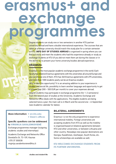### **erasmus+ and exchang programmes**

Degree students can study one or two semesters in another KTU partner university abroad and have a double international experience. The courses that are taken at a foreign university should match the study plan for a certain semester at KTU. **INFO DAY OF STUDIES ABROAD** is organised in spring where you can find out more and meet the students who had this experience already or study as exchange students at KTU (if you did not meet them yet during the classes or in the dorm), or to present your home university/studies abroad experience.

#### **ERASMUS+**

Erasmus+ is the most popular academic exchange programme in the world. Each faculty has bilateral Erasmus agreements with the universities all around Europe and you can choose one of them. KTU has 340 Erasmus agreements with 275 universities, and more than 1000 students yearly can be an Erasmus student.

Why to take this opportunity? It is an amazing addition to your experience in studies and social life, possibility to learn another language and opportunity to get a scholarship (300 – 500 EUR per month) to cover your expenses abroad. Degree students may participate in exchange programme (for 1-2 semesters) from the second year of studies at the University. Academic Exchange and Networks Office deals with the applications. The eligible students are being selected twice a year: the main call is in March and the second one – in September (see Academic calendar for dates).

#### **More information:** ▶ **en.ktu.edu** ▶ **Dean's offices**

#### **Specific questions can be addressed to VIRGINIJA SAVALENKOVIENĖ**

Exchange programmes manager (outgoing students: studies and internships)

Academic Exchange and Networks Office Donelaičio St. 73-109, Kaunas +370 37 300038 virginija.savalenkoviene@ktu.lt

#### **BILATERAL AGREEMENTS**

Erasmus+ is not the only programme to experience international mobility. Foreign universities are accepting students from KTU as well as the mobility is organised based on bilateral agreements between KTU and other universities, or between Lithuania and other country. Nowadays new popular destinations are Georgia, Kazakhstan, Azerbaijan, South Korea, etc. Some scholarships are available as well.

#### **KTU WELCOMES EXCHANGE STUDENTS FROM ITS PARTNER UNIVERSITIES.**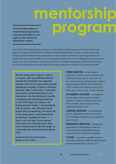**mentorship program**

**For more information on mentorships programmes and personal offers to you, login on KTU Academic Information System.**

From 2014, KTU implemented a unique in Lithuania Mentorship programme that covers the main aspects of studies at the University. Mentors (volunteering students, teachers, professionals and business persons) help the less experienced or fresh students (mentees) to get integrated into the student life, to plan their studies, to focus on career development. It is not obligatory to have all type of mentors but this cooperation can become one of your strongest relationships in the future. And once you learn something new, do not forget to share your experience and become a mentor yourself!

**My first week was a shock. I was in a country with very different kind of people from Spanish, the opposite climate and not so many elder people speaking in English, at least in Kaunas. Anyway, after a short time, I became even more comfortable than in my hometown. For the first time in my life, I experienced what independence is, and KTU helps you adapt a lot. During the first weeks, I was provided with a mentor, who allowed me to forget about everything. She took me to my living place, and showed me everything I needed to know. /…/ Now I can say that I know almost everyone and I already know how many things work in this University, so I can help new international students a lot.**

**Adrián Martín García from Spain Mentor at KTU in 2014**

**PEER MENTOR** – senior student assigned to freshers to get oriented in the University (study system, rules, the city, etc.). All newcomers will have peer mentors, supervised by ESN KTU. Got e-mail from a KTU student even before arrival to KTU? That's your mentor, keep in touch with him.

**ACADEMIC ADVISER** – an academic person appointed to student to help in academic matters (choosing major and minor studies, freely chosen courses, academic progress, etc.).

**CAREER MENTOR** – an experienced person assigned to student to share his/ her knowledge, experience and insights on career issues.

**RESEARCH MENTOR** – a researcher appointed to undergraduate student to start research in desired field. Special requirements for mentees are applied.

**TUTOR** – a student or academic person who helps students in difficult undergraduate courses (mathematics, physics, etc.).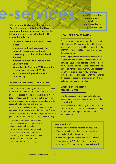**In order to get the login name and password you should register on**  ▶ **registracija.ktu.lt**

**KTU has an unified registration system. Once the new user registers, the login name and the password are valid for the following services provided by the KTU computer network:**

**e-services**

- ▶ **Academic Information System (AIS)**
- ▶ **E-mail**
- ▶ **Computerised workstations in the University classrooms or libraries**
- ▶ **Photocopy machines in the University libraries**
- ▶ **Wireless internet (Wi-Fi) zones in the University area**
- ▶ **Virtual Private Network (VPN) and other e-learning environment (ViPS)**
- ▶ **Moodle e-learning environment (vma.ktu.lt)**

#### **ACADEMIC INFORMATION SYSTEM**

All the information about your study process can be found in KTU Academic Information System (AIS). In order to access AIS, go to ▶ **en.ktu.edu → MY KTU → Academic IS → login** with the new login name and password, which were created during the registration to KTU network system.

In KTU AIS, you will find a study plan of a current semester, the schedule of your lectures, notifications about your payments or outstanding debts as well as your status with the library, faculty, and dormitory.

Important announcements and open surveys, application for mentors will be published in AIS as well. Click on Individual Plan and you will access the information about each year Study Plans. Moreover, you will be able to order a student status certificate from the University.

#### **NEW USER REGISTRATION**

Enter your name, surname and ID (according to KTU database, ID consists of date of birth and several other numbers and looks something like 38909259994. You will be provided by yours on the Welcome week).

After you provide the information needed for the registration, the system will create your login name and your e-mail address. In further steps you will also be able to change a password. The new login name and password will be necessary for all your study period in KTU libraries, computer classes or buildings with Wi-Fi and for the access of academic information on AIS and lectures' materials on Moodle.

#### **MOODLE E-LEARNING ENVIRONMENT**

In order to access your lecture materials, you need to login to e-learning environment Moodle ▶ **vma.ktu.lt** 

Here teachers are publishing information about courses as well as lectures' materials according to the topics and important notifications or announcements.

#### **Have questions?**

Websites and contacts for inquiries are provided:

- ▶ When working in the University computer labs, contact the lab IT administrators,
- ▶ When working at the library, contact the librarians,
- ▶ Regarding e-mail, VPN, KTU wireless network
- issues, contact IT administrators ▶ **pastas@ktu.lt**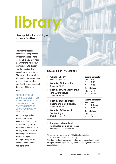# **library**

**Library publications catalogue**  ▶ **ktu.edu/en/library**

The main textbooks for each course are provided or recommended by the teacher. But you may need many more to write your course paper, to deepen your knowledge. The easiest option is to go to KTU library. If you wish to take books home, you need to present your student card (LSIC) or any personal document (ID card or passport).

#### REMEMBER THAT BOOKS ARE GIVEN FOR A CERTAIN PERIOD. IF IT IS OVER BUT YOU WANT TO KEEP THE BOOK, YOU HAVE TO PROLONG IT.

KTU library provides possibilities to use electronic databases, to read scientific journals and books online (virtual library). Each library has a reading hall, internet access, here you can make photocopies or scan desired books as well as to print.

#### **BRANCHES OF KTU LIBRARY**

| Þ. | <b>Central Library</b><br>Donelaičio St. 20                                | I–IV            | <b>During semester</b><br>$8 - 20*$    |
|----|----------------------------------------------------------------------------|-----------------|----------------------------------------|
| Þ. | <b>Faculty of Informatics</b><br>Studenty St. 50                           | v<br>VI         | $8 - 18$<br>$9 - 16$                   |
| Þ. | <b>Faculty of Civil Engineering</b><br>and Architecture<br>Studenty St. 48 | I–IV<br>V       | On holidays<br>$8 - 17$<br>$8 - 15.45$ |
| Þ. | <b>Faculty of Mechanical</b>                                               |                 | <b>During semester</b>                 |
|    | <b>Engineering and Design</b><br>Studenty St. 56                           | I–IV<br>v<br>VI | $8 - 18$<br>$8 - 15:45$<br>$9 - 16**$  |

▶ **Panevezys Faculty of Technologies and Business**  Nemuno St. 33, Panevėžys

\* Orders are carried out up to 19:00 at the Central Library \*\* Open each second and third Saturday

The library is closed for users on the last working day of every month (except November, April, and May). Shorter working hours are before public holidays.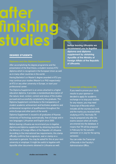## **after finishing studies Before leaving Lithuania we**

#### **DEGREE STUDENTS**

After accomplishing the degree programme and the presentation of the final thesis, a student receives KTU diploma which is recognised in the European Union as well as in many other countries in the world.

Having Bachelor's or Master's degree awarded in KTU you may continue your studies (Master's or PhD respectively) at KTU or any other university in Europe, or start your professional career.

The Diploma Supplement is an annex attached to a higher education diploma. It provides a standardised description of the nature, level, context, content and status of the studies pursued and successfully completed by the graduate. The Diploma Supplement contributes to the transparency of student academic achievement and facilitates academic and professional recognition of qualifications throughout the entire Europe and other parts of the world.

Diploma Supplement is issued to all graduates of Kaunas University of Technology automatically, free of charge and in two languages: Lithuanian and English since 2005.

Before leaving Lithuania we recommend you to legalise diploma and diploma supplement by obtaining Apostille at the Ministry of Foreign Affairs of the Republic of Lithuania. According to the international law requirements, this stamp officially confirms that a signature, seal or stamp on a document is genuine. You may be asked for this at your next university or employer. It might be useful to legalise with Apostille other documents obtained in Lithuania as well.

**recommend you to legalise diploma and diploma supplement by obtaining Apostille at the Ministry of Foreign Affairs of the Republic of Lithuania.** 

If you need to proove your study results to your sponsor or decided to apply for academic exchange or to stop your studies for any reason, you may need Transcript of Records which includes all the courses you took and the marks you received while studying at KTU. Normally TR may be prepared only after the exams session when all marks are entered into the database. It means that TR will be prepared in February for the autumn semester or in July for the spring semester.

You can order the Transcript of Records in the Faculty's Administration Office.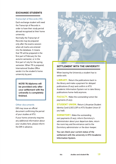#### **EXCHANGE STUDENTS**

#### **Transcript of Records (TR)**

Each exchange student will need the Transcript of Records in order to have their study period abroad recognised at their home university.

Normally the Transcript of Records may be prepared only after the exams session when all marks are entered into the database. It means that TR will be prepared in the first part of February for the autumn semester, or in the first part of July for the spring semester. When TR is prepared, International Studies Office sends it to the student's home university by post.

> **NOTE! TR/diploma will be provided only after your settlement with the university is completely finished.**

#### **Other documents**

DIR may issue an official document confirming the period of your studies at KTU.

If your home university requires any additional information about your studies here, please inform the DIR in advance.



#### **SETTLEMENT WITH THE UNIVERSITY**

When leaving the University a student has to settle with:

**LIBRARY.** Return the publications back to the library and make a payment for delayed publications (if any) and confirm in KTU Academic Information System not to take library publications home-held anymore.

**FACULTY.** Make the outstanding tuition fee payments (if any).

**STUDENT UNION.** Return Lithuanian Student Identity Card (LSIC/LSP) to KTU Student Union (if you had).

**DORMITORY.** Make the outstanding rent payments (if any), inform Dormitory's administrator about your departure date, return the room key and the entrance card to the Dormitory administrator or the door-keeper.

You can check your current status of the settlement with the university in KTU Academic Information System.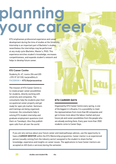# **planning your career**

KTU emphasises professional experience and career development during the time of studies at the University. Internship is an important part of Bachelor's studies nevertheless the internships may be performed at any study cycle (Bachelor, Master's, PhD). This experience enriches student's knowledge, encreases competitiveness, and expands student's network and helps to develop future career.

#### **KTU Career Centre**

Studentų St. 67, rooms 204 and 205 +370 37 321330, karjera@ktu.lt FACEBOOK ▶ KTU.Karjeroscentras

The mission of KTU Career Centre is to create proper career possibilities for students, directly working with university and companies. The consultants help the students plan their occupational career properly and get ready for open job market. Seminars and trainings are being organised, moreover, the consultants help in solving KTU student internship and graduate employment questions (visit them on Tuesdays). Also they publish open calls from all over the world.

#### **KTU CAREER DAYS**

Organised by KTU Career Centre every spring, is one of the biggest in Lithuania. It is a possibility to meet the representatives from more than 80 companies and get to know more about the labour market and your future job and career possibilities from the people who are already working there. Every year more than 3500 students come to Career Days.

If you are very serious about your future career and need pathways advices, use the opportunity to have a CAREER MENTOR within the KTU Mentorship programme. Career mentor is an experienced person (usually coming from the industry sector) assigned to the student to share his/her knowledge, experience and insights on career issues. The applications to have Career mentors are accepted on AIS (look e-services) during the semester.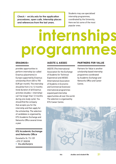**Check** ▶ **en.ktu.edu for the application procedures, open calls, internship places and references from the last years.**

Students may use specialised internship programmes, coordinated by the University. Here we list some of the most popular ones.

# **internships programmes**

#### **ERASMUS+**

provides opportunities to perform internship (so-called Erasmus placements) in Europe supported by Erasmus scholarship (from 400 to 700 EUR per month). The internship should be from 2 to 12 months (total duration of all Erasmus activities (studies + internship) can't be longer than 12 months during one study cycle). You should find the company that accepts you for the internship and then apply for the scholarship. The selection of candidates is organised by KTU Academic Exchange and Networks Office several times a year.

**KTU Academic Exchange and Networks Office**

Donelaičio St. 73-109 +370 37 300038 ▶ ktu.edu/karjera

#### **IAESTE & AIESEC**

IAESTE (The International Association for the Exchange of Students for Technical Experience) and AIESEC (International Association of Students in Economic and Commercial Sciences) international programmes expand paid internship opportunities all over the world. The selection is organised by KTU Career Centre.

#### **PARTNERS FOR VALUE**

Partners for Value is another scholarship based internship programme coordinated by Academic Exchange and Networks Office and Career Centre.

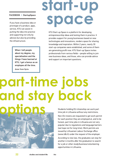### start-u **space**

#### FACEBOOK ▶ StartupSpace

If you have a business idea or prorotype of a product, apps, service, KTU can assist in putting the idea into practice and supporting not only by advices but also by providing the infrastructure.

> When I tell people about my degree, my specialisation and the things I have learned at KTU, I get a bonus as an employee all the time.

Amer from Syria

KTU Start-up Space is a platform for developing entrepreneurship ideas and testing them in practice. It provides support for young businesses based on new technologies and innovations, renders space for sharing knowledge and inspiration. Within 2 years, nearly 30 start-up companies were established, and some of them are generating profit now. KTU Start-up Space invites professionals from various fields – people willing to join new business ideas, and those, who can provide advice and support on important questions.

### **part-time jobs and stay back options**

Students holding EU citizenship can work part time job in Lithuania without any restrictions. Non-EU ctizens are requested to get work permit for each position they are employed at, and to be honest, part time jobs in Lithuania are not very popular due to regulations and language barriers (we hope not for long time). Work permits are issued by Lithuanian Labour Exchange office (www.ldb.lt) under the request of the employer.

According to new law, the graduates can stay for another 6 months after the graduation to search for a job or other study/business/volunteering opportunities in Lithuania.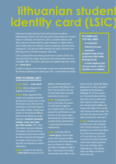### **lithuanian student identity card (LSI)**

Lithuanian Student Identity Card (LSIC) (Lietuvos studento pažymėjimas (LSP)) is the main document that proves your Student status in Lithuania. An electronic LSIC is a student identity card that is also an e-ticket card for public transport, e-wallet, library card, student discount card (for cinema, shopping, internet access, copying etc.). You get up to 80% discount for public transport and 50% discount for intercity transport with LSIC.

LSIC is produced for the whole period of your studies at KTU. It's your document for studies and leisure time and provides the most incredible offers. The offers, discounts are updated regularly, check on ▶ **www.lsp.lt**

In order to save your time and maybe avoid some misunderstandings, the mentors will help you to order your LSIC – contact them for details.

#### **TO ORDER LSIC YOU WILL NEED:**

- ▶ **a computer;**
- ▶ **internet access;**

▶ **scanned passport type photo (coloured with white background);**

▶ **e-mail address (do not use one.lt, mail.ru, rambler.ru or similar).**

#### **HOW TO ORDER LSIC?**

**1 step.** Go to ▶ **www.lsp.lt 2 step.** Click on Register (to register in the system).

**3 step.** Enter requested information very carefully and follow the directions (if you enter wrong information your LSIC won't be produced or it will take longer; if you made mistake, contact your mentor or International Officer). Enter the city where you study (Kaunas). **Instead of personal number, enter your passport (ID) number.** Fill in other information and press Register. The system will show the error (it's because of personal number) but don't mind and click Register once again. Check your e-mail and click received link to confirm registration.

**4 step.** Connect to the system ▶ **www.lsp.lt** using your email

address and the password you entered while filling in the form. You must fill in the rest of information about yourself (university, faculty, etc.).

**5 step.** It may take from 5 min to a few days the system (or LSIC team) to approve your student status. You will receive the confirmation e-mail. Connect to the system again and upload your photo (have it scanned, photo requirements: ▶ www.lsp.lt/en/nuotraukosreikalavimai).

**6 step.** In the My LSIC on ▶ **www.lsp.lt**, choose Order a new LSIC. Choose an office where your LSIC will be delivered (you can choose to collect in any office of Swedbank, DNB or Bite – these banks and mobile net providers have offices in the

most common places like Molas (Baršausko St. 66A), Akropolis shopping centre (Karaliaus Mindaugo St. 49) and Laisvės av.). Choose the date and time, when you come to collect your LSIC. Pay for it online or print out a receipt which enables you to pay at the office. Print out the LSIC contract and the receipt. You can track the status of your LSIC, when connected to www.lsp.lt.

**7 step.** As soon as you come to collect your LSIC, bring the LSIC contract and sign it in the presence of an authorized officer. You must have your passport or ID card with you. If you did not pay for the LSIC production online, then make a payment. If you see a mistake while collecting your LSIC, please inform an officer and do not collect the LSIC.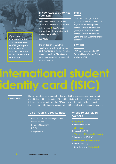#### **IF YOU HAVE LOST/RUINED YOUR LSIC**

Please contact with KTU Student Union (K.Donelaičio St. 73, Kaunas or by e-mail ▶ lsp@ktusa.lt) and students who work there will explain you what to do.

#### **ADVICE**

The production of LSIC from registration to picking it from the bank may take 2-3 weeks. If it takes longer, contact the KTU Student Union (see above for the contacts) or your mentor.

#### **PRICE**

New LSIC costs 2,90 EUR for 1 year + bank fees. So it would be 11,60 EUR for undergraduate degree students (duration of 4 years), 5,80 EUR for Master's degree students (duration of 2 years) and 2,90 EUR for exchange students.

#### **RETURN**

LSIC must be returned to KTU Student Union after you finish studies at KTU.

### **international student identity card (ISIC)**

#### ▶ www.isic.lt

**If you need a confirmation that you are a student of KTU, go to your faculty and ask to issue a Student status confirmation document.**

> During your studies and especially while your LSIC is being produced you may find useful to have ISIC – International Student Identity Card. It gives plenty of discounts in Lithuania and abroad. Note that ISIC can give you discounts for Kaunas public transport, but not for intercity bus and trains. ISIC is made within a couple of minutes.

#### **TO GET YOUR ISIC YOU'LL NEED:**

- ▶ Student's status confirming document (issued by DIR);
- $\rightarrow$  1 photo (30x40 mm);
- ▶ 9 EURt;
- ▶ Passport or ID.

#### **WHERE TO GET ISIC IN KAUNAS?**

- (E. Ožeškienės St. 27)
	-
- (Kęstučio St. 57-1)
- 
- (S. Daukanto St. 27-210)

- (S. Daukanto St. 1)
- ▶ Or order online **www.isic.lt**

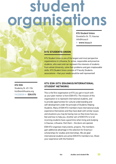### **student organisations**

#### **KTU Student Union**

Donelaičio St. 73, Kaunas info@ktusa.lt

▶ **www.**ktusa.lt

### **KTU STUDENTS UNION**

KTU Student Union is one of the largest and most perspective organisations in Lithuania, for active, responsible and proactive students, who want and can represent the interests of students from whole University, solve their problems and gain irreplaceable skills. KTU Student Union consists of 9 faculty Students associations – that your needs would be well represented!

#### **KTU ESN**

Studentų St. 69–104 ktu@esnlithuania.org FACEBOOK ▶ **ESN.KTU**

#### **KTU ESN (KTU ERASMUS/INTERNATIONAL STUDENT NETWORK)**

This is the first organisation at KTU you get in touch with as your peer mentor is from ESN KTU. The mission of this organisation is to represent international students, and to provide opportunities for cultural understanding and self-development under the principle of Students Helping Students. Many of ESN KTU members have international study experience themselves and they have dealt with similar issues and situations you may be having now so they know how you feel and how to help you. Another aim of ESN KTU is to let incoming students have a good time when living and studying in Kaunas, Lithuania. Visit them – the doors are opened.

ESN KTU organises many events, projects. The members gain additional advantage in the selection for Erasmus+ scholarships for studies and internships. We are glad international students are active ESN KTU members too. Share your experience with the freshers!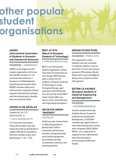### **other popular student organisations**

**AIESEC (International Association of Students in Economic and Commercial Sciences)**

#### FACEBOOK ▶ **AIESECKTU**

AIESEC is the largest world's student organisation with more than 86,000 members in 126 countries and territories. It focusses on selfdevelopment, networking and business links. AIESEC members daily work with business companies closely, organise international exchange and internship projects, develop their own practical skills.

#### **HIKING CLUB ĄŽUOLAS**

#### Studentų St. 69–119 (dormitory No. 3) ▶ **www.azuolas.ktu.lt**

For those who love nature, hiking and complex trips and those who keep up and declare a healthy lifestyle! It's possible to find club members every work day between 11:45 -12:30.

#### **BEST AT KTU (Board of European Students of Technology)**

#### ▶ **www.bestkaunas.org**

BEST is an international student organisation uniting more than 70 universities all over Europe. BEST Kaunas gives a chance for the students of Kaunas University of Technology to travel throughout Europe, gain experience and find friends from all over the world. BEST Career Centre offers you various work, internship and self-improvement programs.

#### **INITIATIVE GROUP "INVENSA"**

#### ▶**evf.ktu.lt**

Initiative group "Invensa"aims to help young people to develop their skills in investment and business activities, entrepreneurship and scientific perspective by providing trainings, consultations, seminars and involving practise.

#### **DESIGN STUDIO PIXEL**

#### FACEBOOK ▶ **PIXEL.KTU**

The organisation unites students who are interested in computer graphics, want to learn how to work with various programs (Photoshop, Zbrush, Maya) and to use knowledge by doing various projects (create Unity games).

#### **ESTIEM LG KAUNAS (European Students of Industrial Engineering and Management)**

#### **FACEBOOK** ▶ **ESTIEMLGKAUNAS**

Another society that brings students all over Europe for professional and personal development. LG ESTIEM members get opportunities of internships abroad and contacts with companies ZEISS, BOSH, RESUL, etc.), experience to organise events, administrate international projects, communicate and find new friends.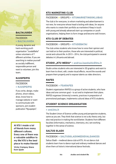#### **BALTALILIODA**

### **FACEBOOK** ▶ **BALTAIJUODA**

A young, dynamic and hard-working youth organisation "JuodaiBalta" unites volunteers of 7 different activities. If you are searching to realise yourself as socially indifferent, responsible person and want to volunteer, join this team.

#### **NJUSPEIPIS**

#### FACEBOOK ▶ **NJUSPEIPIS**

If you write, design, make photos, shoot videos, draw, know how to manage website or want to communicate with sponsors, join student publication "Njuspeipis".

**At KTU I made a lot of friends from many different cultures. Every one of them was a valuable addition to my life! KTU is the best place to make friends!**

**Víctor Campoy Sirera from Spain**

#### **KTU MARKETING CLUB**

#### FACEBOOK ▶ GROUPS ▶ **KTUMARKETINGOKLUBAS**

The club is for everyone, to whom marketing and advertisement is not new, for everyone whose head is boiling with ideas, for anyone who wants to create their portfolio as marketers! Keep in touch with young and already advanced start-up companies or youth organisations, helping them to form image and become well-known.

#### **KTU CLUB OF DEBATES**

#### FACEBOOK ▶ GROUPS ▶ **KTUDEBATAI**

The club unites students who know how to voice their opinion and can hold on to their position, those who are interested in political, social and cultural life. In 2013 – 2014, the club participated in several debates in Lithuania and abroad.

#### **STUDIO "KTU MEDIA"** ▶ **andrius.kazokaitis@ktu.lt**

Studio unites students who are interested in 3D graphics and want to learn how to shoot, edit, create visual effects, record the sounds and prepare them properly and to expose talents as video directors.

#### **RAFES**

#### FACEBOOK ▶ **FSARAFES**

Student organisation RAFES is a group of active students, who have ideas and one common goal – to act and to implement their plans. RAFES organises University's events, practices in preparation of promotional packages, implements cultural ideas of KTU students.

#### **STUDENT SCIENCE ORGANISATION**

#### ▶ **smd.ktu.lt**

The Student Union of Science unifies young and perspective students, same as you are. They think that science is not a dry theory only, but also real practice in making the world better. Students from different faculties (informatics, mechanics, chemistry, etc.) are working together in the sense of science.

#### **SALTUS GLADII**

#### FACEBOOK ▶ **SALTUSGLADIIMEDIEVALDANCES**

Saltus Gladii – medieval dance club at KTU. At out dance club students learn how to dance royal and ordinary medieval dances and show them at historic international dance festivals.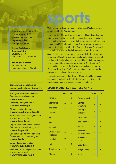**If you have any questions about sports at KTU, please contact the representatives our Sport Centre:**

**Assoc. Prof. Laura Daniusevičiūtė** Studentų St. 48 laura.daniuseviciute@ktu.lt

**Mindaugas Dubosas** Studentų St. 48 mindaugas.dubosas@ktu.lt

#### **Some private sport clubs (always ask for student discounts):**

| Ažuolynas Sports and Wellness<br>Centre (with tennis courts)                   |                 |
|--------------------------------------------------------------------------------|-----------------|
| $\blacktriangleright$ www.assc.lt                                              | <b>Aerobics</b> |
| ClimbingClub.lt (climbing wall)                                                | <b>Badmint</b>  |
| $\blacktriangleright$ www.climbing.lt                                          |                 |
| Girstučio swimming pool                                                        | <b>Basketba</b> |
| ▶ www.plaukimocentras.lt                                                       | Cricket         |
| <b>Hermis Wellness Centre (with sauna</b><br>and swimming pools)               | <b>Fitness</b>  |
| $\blacktriangleright$ www.hermis.net                                           | Floor bal       |
| <b>Impuls Sports and Entertainment</b><br>Centre (with the swimming pool)      | Football        |
| ▶ www.impuls.lt                                                                | Greco-ro        |
| <b>Lithuanian Sports University (with</b><br>fitness, aerobics, swimming pool) | wrestlind       |
| ▶ www.lsu.lt                                                                   | Handball        |
| <b>Savas Klubas Sports Club</b><br>$\blacktriangleright$ www.savasklubas.lt    | Judo            |
| <b>Wellness Centre Linija (with sauna</b><br>and swimming pool)                | Orienteer       |
| $\blacktriangleright$ www.linijasportas.lt                                     | <b>Pilates</b>  |

Various sport activities in Kaunas University of Technology are coordinated by the Sport Centre.

**sports**

More than 400 KTU students participate in different sport competitions every year. Women and men basketball, women and men volleyball, man handball and football teams won many Lithuanian students and SELL championships. Several university students represented Lithuania at four last Summer Olympic Games while international students play in University's professional teams.

Sport Centre organises various sports events for the Academic community. One of the best traditional events is Student Basketball Contest, Rectors Cup, also overnight basketball tournament, sports competition among the dormitories, Christmas and Easter volleyball tournaments, Student's marathon in memoriam of Professor Kazimieras Baršauskas and Sports contests for the opening and closing of the academic year.

Fitness (practiced next door from KTU dormitory No. 8), basketball, tennis, football and floor football as well as cricket are the most popular sports among international students.

#### **SPORT BRANCHES PRACTICED AT KTU**

|                          | Prof. | All |                                     | Prof. | All |
|--------------------------|-------|-----|-------------------------------------|-------|-----|
| <b>Aerobics</b>          |       | X   | <b>Rowing sport</b>                 | X     |     |
| <b>Badminton</b>         | X     | X   | Sambo                               | X     |     |
| <b>Basketball</b>        | X     | X   | wrestling                           |       |     |
| <b>Cricket</b>           |       | X   | <b>Strength</b><br>triathlon        | X     |     |
| <b>Fitness</b>           |       | X   | Swimming                            | X     | X   |
| <b>Floor ball</b>        |       | X   | <b>Table tennis</b>                 |       | X   |
| Football                 | X     | X   | <b>Tennis</b>                       |       | X   |
| Greco-roman<br>wrestling | X     |     | <b>Track and</b><br>field athletics |       |     |
| <b>Handball</b>          | X     |     | Travellers'<br>sport                | X     |     |
| Judo                     | ۰     | X   | Volleyball                          |       | X   |
| Orienteering             | X     |     | <b>Weight lifting</b>               |       | X   |
| <b>Pilates</b>           |       | X   | Yoga                                |       | X   |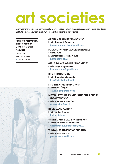## **art societies**

Every year many students join various KTU art societies – choir, dance groups, design studio, etc. It is an ability to express yourself, to show your talent and to make new friends.

#### **For more information, please contact Centre of Cultural Activities**

Laisvės Av. 13-111 +370 37 300082 ▶ kultura@ktu.lt

#### **ACADEMIC CHOIR "JAUNYSTĖ"**  Leader **Danguolė Beinarytė**

▶ **jaunystes.maestro@gmail.com**

#### **FOLK SONG AND DANCE ENSEMBLE "NEMUNAS"**

Leader **Margarita Tomkevičiūtė** ▶ **nemunas@ktu.lt** 

#### **GIRLS DANCE GROUP "MODANCE"**

Leader **Tatjana Apolonova** ▶ **ktu.modance@gmail.com**

**KTU PHOTOSTUDIO** Leader **Robertas Misiukonis** ▶ **kfs@fotostudija.ktu.lt** 

#### **KTU THEATRE STUDIO "44"**

Leader **Ridas Žirgulis** ▶ **44.studija@gmail.com**

#### **MIXED LECTURERS AND STUDENTS CHOIR "ABSOLVENTAS"**

Leader **Viktoras Masevičius** ▶ **masevicius@ktu.lt**

#### **ROCK BAND "AITOR"** Leader **Julius Vilnonis** ▶ **kultura@ktu.lt**

#### **SPORT DANCE CLUB "VIESULAS"**

Leader **Gediminas Kavaliauskas** ▶ **gediminas.kavaliauskas@ktu.lt**

#### **WIND-INSTRUMENT ORCHESTRA**

Leader **Petras Tadaras** ▶ **petras.tadaras@ktu.lt**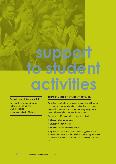# **support to student activities**

#### **Department of Student Affairs**

Director Dr. Martynas Ubartas K. Donelaičio St. 73-114 +370 37 300014 ▶ martynas.ubartas@ktu.lt

#### **DEPARTMENT OF STUDENT AFFAIRS**

Provides consultations, helps students to deal with various problems and issues related to studies, financial support, Mentorship programme, dormitories, daily living needs, personal career planning, free time and health.

Department of Student Affairs consists of 3 units:

- ▶ Student Information Unit
- ▶ Student Welfare Group
- ▶ Student Leisure Planning Group

They do their best to discuss students' suggestions and address their needs in order to help students stay motivated, achieve their academic aims and be satisfied with the study process.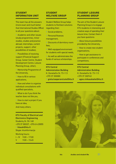#### **STUDENT INFORMATION UNIT**

This team has all the answers (more exact and much better that International Studies Office) to all your questions about:

▶ Academic and other issues (study programmes, minor studies, studies and practice abroad, internships, current projects, support, other possibilities of studies),

▶ Possibilities of receiving support (Financial Support Group, Career Centre, Student Development Centre, Leisure Planning Group, other),

▶ Mentorship Programme of the University,

▶ How to fill in various applications,

▶ How and when to organise individual consultations with qualified specialists,

▶ What to do if you think the teacher does not like you,

▶ How to start a project if you have an idea,

And many others.

KTU Faculty of Electrical and Electronics Engineering Studentų St. 50-168 +370 37 300327, +370 614 20055 ▶ klausk@ktu.lt

Skype: ktuinformacija

Working hours:  $I - IV$  9:00 – 17:00  $9:00 - 15:45$ 

#### **STUDENT WELFARE GROUP**

Student Welfare Group helps students to find best solutions regarding their:

- ▶ Social problems,
- ▶ Personal finances management,

▶ Discounts of dormitory room fees,

▶ Well-equipped environment for students with special needs,

▶ As well as administrates the funds of various scholarships.

KTU Central Administration Building K. Donelaičio St. 73-113 +370 37 300080 ▶ greta.kasperaviciute@ktu.lt

#### **STUDENT LEISURE PLANNING GROUP**

The aim of the Student Leisure Planning Group is to engage KTU students in interesting and creative ways of spending their leisure time. Contact them if you have questions:

▶ About leisure possibilities provided by the University,

▶ How to create new student organisations,

▶ How to get assistance to participate in conferences and competitions.

#### KTU Central

Administration Building K. Donelaičio St. 73-113 +370 37 300743 ▶ agne.vinkauskaite@ktu.lt